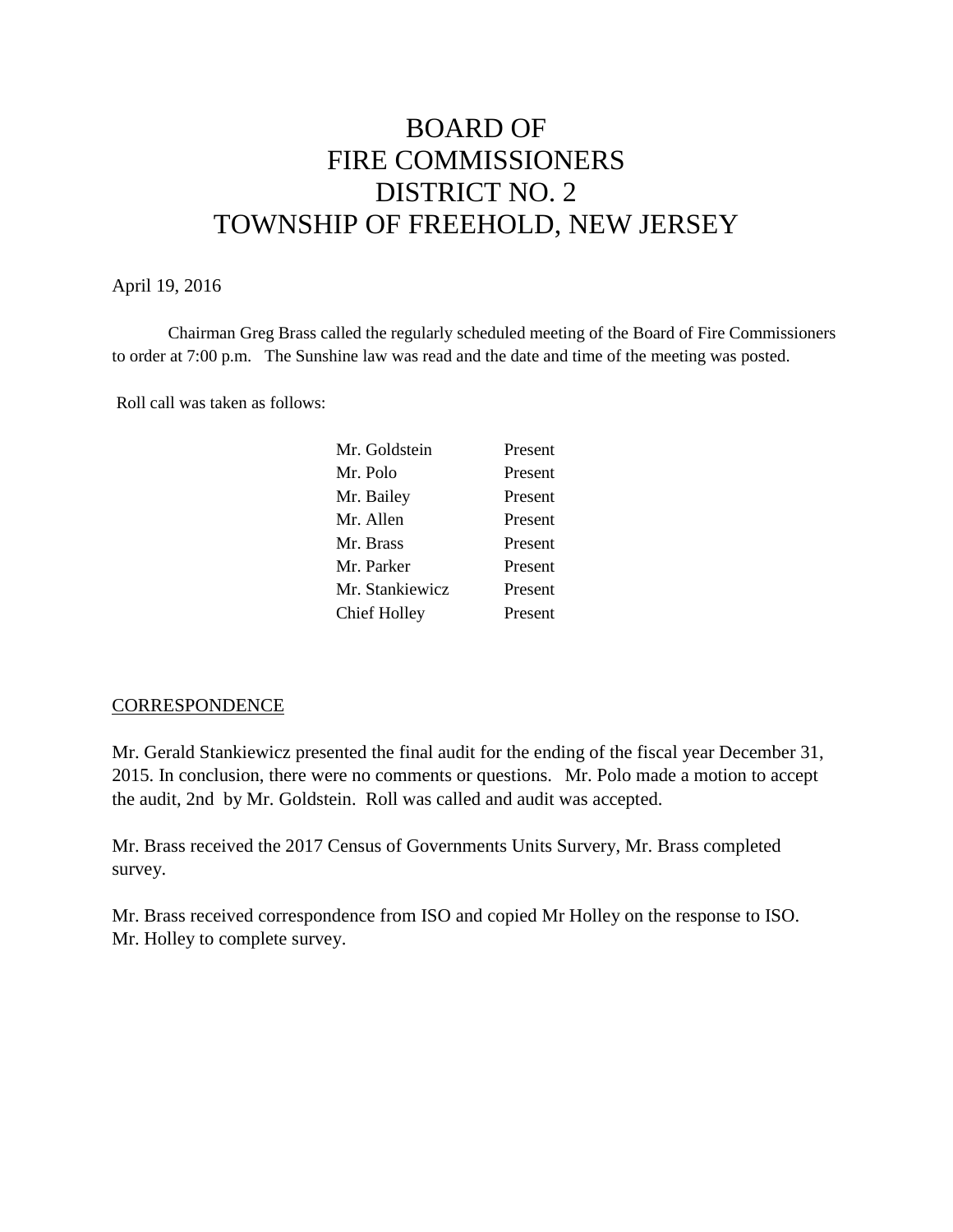# BOARD OF FIRE COMMISSIONERS DISTRICT NO. 2 TOWNSHIP OF FREEHOLD, NEW JERSEY

#### April 19, 2016

Chairman Greg Brass called the regularly scheduled meeting of the Board of Fire Commissioners to order at 7:00 p.m. The Sunshine law was read and the date and time of the meeting was posted.

Roll call was taken as follows:

| Mr. Goldstein   | Present |
|-----------------|---------|
| Mr. Polo        | Present |
| Mr. Bailey      | Present |
| Mr. Allen       | Present |
| Mr. Brass       | Present |
| Mr. Parker      | Present |
| Mr. Stankiewicz | Present |
| Chief Holley    | Present |
|                 |         |

#### **CORRESPONDENCE**

Mr. Gerald Stankiewicz presented the final audit for the ending of the fiscal year December 31, 2015. In conclusion, there were no comments or questions. Mr. Polo made a motion to accept the audit, 2nd by Mr. Goldstein. Roll was called and audit was accepted.

Mr. Brass received the 2017 Census of Governments Units Survery, Mr. Brass completed survey.

Mr. Brass received correspondence from ISO and copied Mr Holley on the response to ISO. Mr. Holley to complete survey.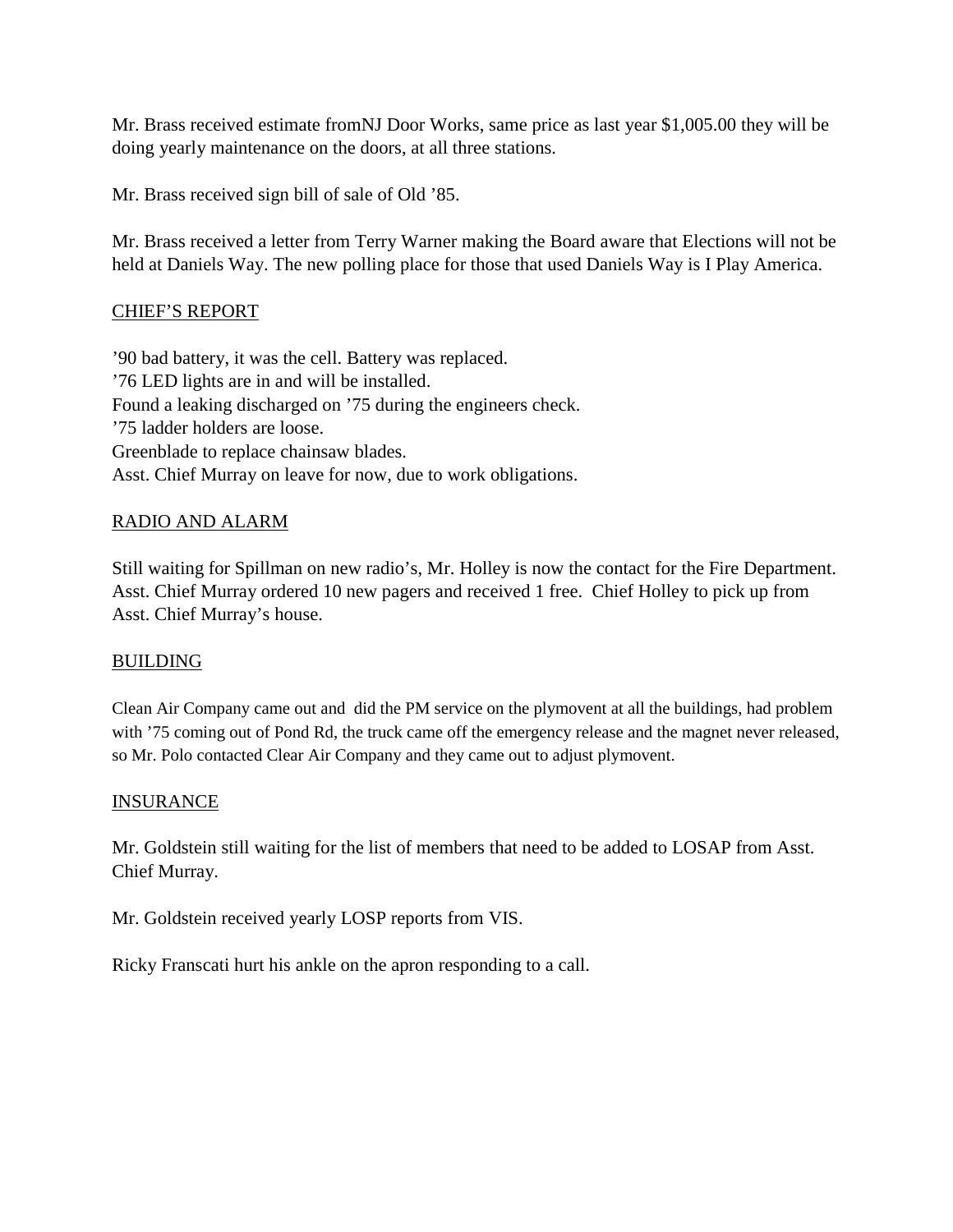Mr. Brass received estimate fromNJ Door Works, same price as last year \$1,005.00 they will be doing yearly maintenance on the doors, at all three stations.

Mr. Brass received sign bill of sale of Old '85.

Mr. Brass received a letter from Terry Warner making the Board aware that Elections will not be held at Daniels Way. The new polling place for those that used Daniels Way is I Play America.

## CHIEF'S REPORT

'90 bad battery, it was the cell. Battery was replaced. '76 LED lights are in and will be installed. Found a leaking discharged on '75 during the engineers check. '75 ladder holders are loose. Greenblade to replace chainsaw blades. Asst. Chief Murray on leave for now, due to work obligations.

## RADIO AND ALARM

Still waiting for Spillman on new radio's, Mr. Holley is now the contact for the Fire Department. Asst. Chief Murray ordered 10 new pagers and received 1 free. Chief Holley to pick up from Asst. Chief Murray's house.

### **BUILDING**

Clean Air Company came out and did the PM service on the plymovent at all the buildings, had problem with '75 coming out of Pond Rd, the truck came off the emergency release and the magnet never released, so Mr. Polo contacted Clear Air Company and they came out to adjust plymovent.

### **INSURANCE**

Mr. Goldstein still waiting for the list of members that need to be added to LOSAP from Asst. Chief Murray.

Mr. Goldstein received yearly LOSP reports from VIS.

Ricky Franscati hurt his ankle on the apron responding to a call.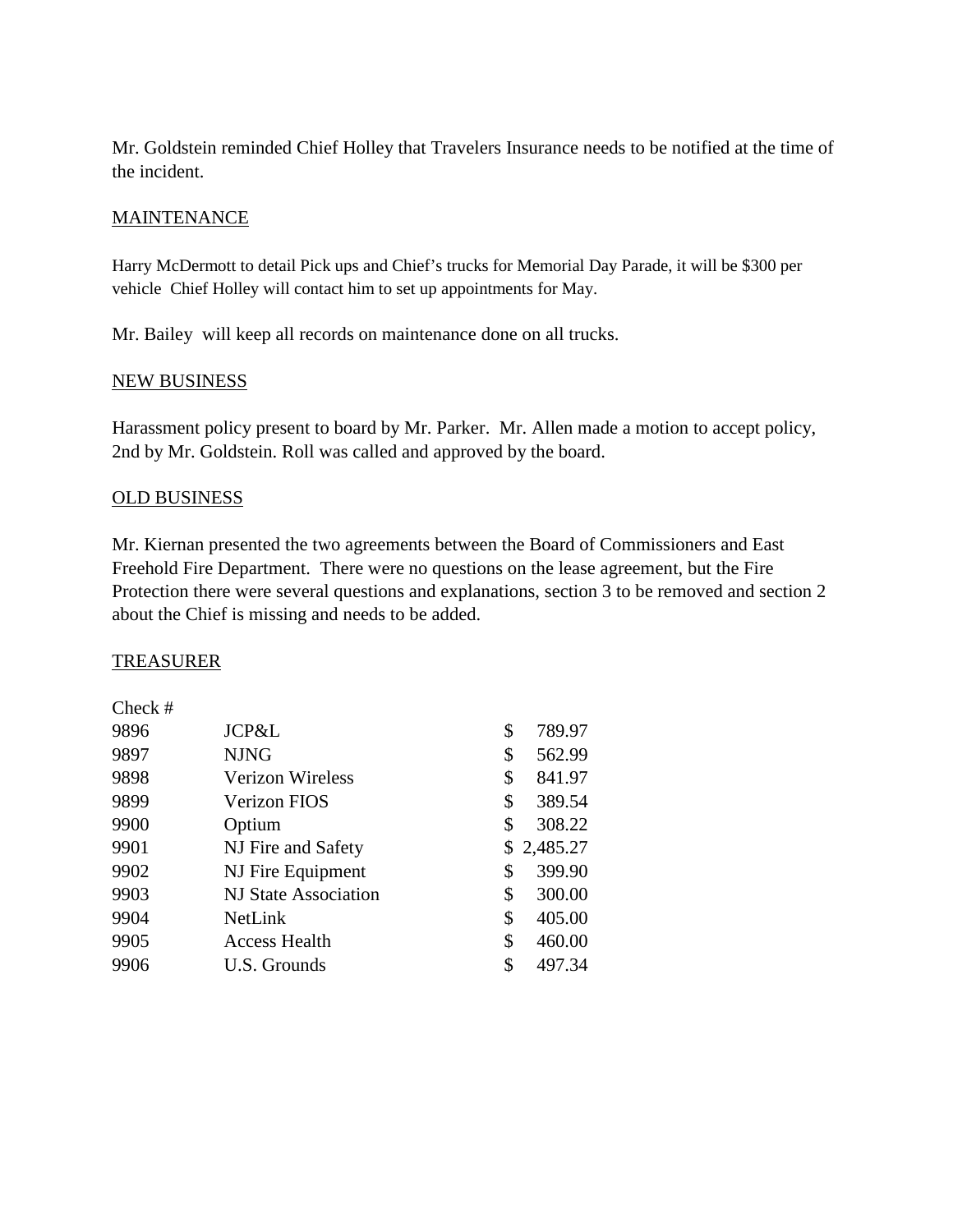Mr. Goldstein reminded Chief Holley that Travelers Insurance needs to be notified at the time of the incident.

## **MAINTENANCE**

Harry McDermott to detail Pick ups and Chief's trucks for Memorial Day Parade, it will be \$300 per vehicle Chief Holley will contact him to set up appointments for May.

Mr. Bailey will keep all records on maintenance done on all trucks.

### NEW BUSINESS

Harassment policy present to board by Mr. Parker. Mr. Allen made a motion to accept policy, 2nd by Mr. Goldstein. Roll was called and approved by the board.

## OLD BUSINESS

Mr. Kiernan presented the two agreements between the Board of Commissioners and East Freehold Fire Department. There were no questions on the lease agreement, but the Fire Protection there were several questions and explanations, section 3 to be removed and section 2 about the Chief is missing and needs to be added.

### TREASURER

| $Check \#$ |                         |              |
|------------|-------------------------|--------------|
| 9896       | JCP&L                   | \$<br>789.97 |
| 9897       | <b>NJNG</b>             | \$<br>562.99 |
| 9898       | <b>Verizon Wireless</b> | \$<br>841.97 |
| 9899       | Verizon FIOS            | \$<br>389.54 |
| 9900       | Optium                  | \$<br>308.22 |
| 9901       | NJ Fire and Safety      | \$2,485.27   |
| 9902       | NJ Fire Equipment       | \$<br>399.90 |
| 9903       | NJ State Association    | \$<br>300.00 |
| 9904       | NetLink                 | \$<br>405.00 |
| 9905       | <b>Access Health</b>    | \$<br>460.00 |
| 9906       | U.S. Grounds            | \$<br>497.34 |